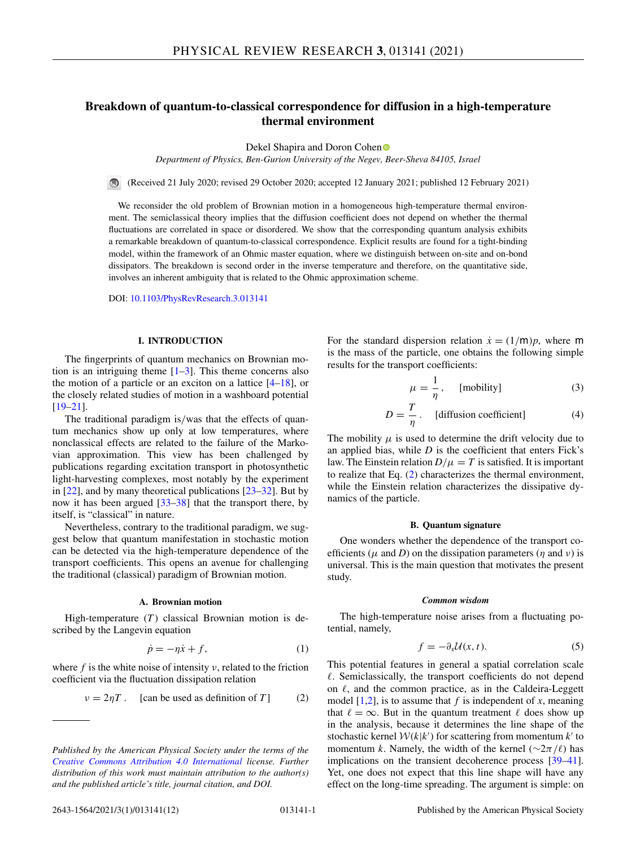# <span id="page-0-0"></span>**Breakdown of quantum-to-classical correspondence for diffusion in a high-temperature thermal environment**

Dekel Shapira a[n](https://orcid.org/0000-0002-3835-3544)d Doron Cohen<sup>®</sup>

*Department of Physics, Ben-Gurion University of the Negev, Beer-Sheva 84105, Israel*

(Received 21 July 2020; revised 29 October 2020; accepted 12 January 2021; published 12 February 2021)

We reconsider the old problem of Brownian motion in a homogeneous high-temperature thermal environment. The semiclassical theory implies that the diffusion coefficient does not depend on whether the thermal fluctuations are correlated in space or disordered. We show that the corresponding quantum analysis exhibits a remarkable breakdown of quantum-to-classical correspondence. Explicit results are found for a tight-binding model, within the framework of an Ohmic master equation, where we distinguish between on-site and on-bond dissipators. The breakdown is second order in the inverse temperature and therefore, on the quantitative side, involves an inherent ambiguity that is related to the Ohmic approximation scheme.

DOI: [10.1103/PhysRevResearch.3.013141](https://doi.org/10.1103/PhysRevResearch.3.013141)

# **I. INTRODUCTION**

The fingerprints of quantum mechanics on Brownian motion is an intriguing theme  $[1-3]$ . This theme concerns also the motion of a particle or an exciton on a lattice  $[4-18]$  $[4-18]$ , or the closely related studies of motion in a washboard potential [\[19–21\]](#page-11-0).

The traditional paradigm is/was that the effects of quantum mechanics show up only at low temperatures, where nonclassical effects are related to the failure of the Markovian approximation. This view has been challenged by publications regarding excitation transport in photosynthetic light-harvesting complexes, most notably by the experiment in [\[22\]](#page-11-0), and by many theoretical publications [\[23–32\]](#page-11-0). But by now it has been argued [\[33–38\]](#page-11-0) that the transport there, by itself, is "classical" in nature.

Nevertheless, contrary to the traditional paradigm, we suggest below that quantum manifestation in stochastic motion can be detected via the high-temperature dependence of the transport coefficients. This opens an avenue for challenging the traditional (classical) paradigm of Brownian motion.

# **A. Brownian motion**

High-temperature (*T*) classical Brownian motion is described by the Langevin equation

$$
\dot{p} = -\eta \dot{x} + f,\tag{1}
$$

where  $f$  is the white noise of intensity  $v$ , related to the friction coefficient via the fluctuation dissipation relation

$$
v = 2\eta T.
$$
 [can be used as definition of T] (2)

For the standard dispersion relation  $\dot{x} = (1/m)p$ , where m is the mass of the particle, one obtains the following simple results for the transport coefficients:

$$
\mu = \frac{1}{\eta}, \quad \text{[mobility]} \tag{3}
$$

$$
D = \frac{T}{\eta}.
$$
 [diffusion coefficient] (4)

The mobility  $\mu$  is used to determine the drift velocity due to an applied bias, while *D* is the coefficient that enters Fick's law. The Einstein relation  $D/\mu = T$  is satisfied. It is important to realize that Eq. (2) characterizes the thermal environment, while the Einstein relation characterizes the dissipative dynamics of the particle.

### **B. Quantum signature**

One wonders whether the dependence of the transport coefficients ( $\mu$  and *D*) on the dissipation parameters ( $\eta$  and  $\nu$ ) is universal. This is the main question that motivates the present study.

### *Common wisdom*

The high-temperature noise arises from a fluctuating potential, namely,

$$
f = -\partial_x \mathcal{U}(x, t). \tag{5}
$$

This potential features in general a spatial correlation scale . Semiclassically, the transport coefficients do not depend on  $\ell$ , and the common practice, as in the Caldeira-Leggett model  $[1,2]$ , is to assume that *f* is independent of *x*, meaning that  $\ell = \infty$ . But in the quantum treatment  $\ell$  does show up in the analysis, because it determines the line shape of the stochastic kernel  $W(k|k')$  for scattering from momentum  $k'$  to momentum *k*. Namely, the width of the kernel ( $\sim 2\pi/\ell$ ) has implications on the transient decoherence process [\[39–41\]](#page-11-0). Yet, one does not expect that this line shape will have any effect on the long-time spreading. The argument is simple: on

*Published by the American Physical Society under the terms of the [Creative Commons Attribution 4.0 International](https://creativecommons.org/licenses/by/4.0/) license. Further distribution of this work must maintain attribution to the author(s) and the published article's title, journal citation, and DOI.*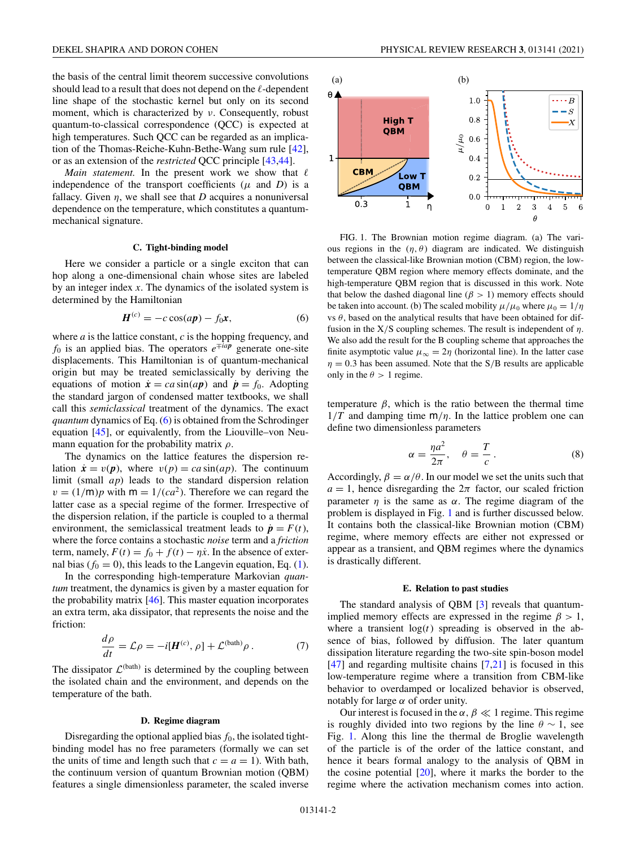<span id="page-1-0"></span>the basis of the central limit theorem successive convolutions should lead to a result that does not depend on the  $\ell$ -dependent line shape of the stochastic kernel but only on its second moment, which is characterized by ν. Consequently, robust quantum-to-classical correspondence (QCC) is expected at high temperatures. Such QCC can be regarded as an implication of the Thomas-Reiche-Kuhn-Bethe-Wang sum rule [\[42\]](#page-11-0), or as an extension of the *restricted* QCC principle [\[43,44\]](#page-11-0).

*Main statement*. In the present work we show that  $\ell$ independence of the transport coefficients  $(\mu$  and *D*) is a fallacy. Given  $\eta$ , we shall see that *D* acquires a nonuniversal dependence on the temperature, which constitutes a quantummechanical signature.

#### **C. Tight-binding model**

Here we consider a particle or a single exciton that can hop along a one-dimensional chain whose sites are labeled by an integer index *x*. The dynamics of the isolated system is determined by the Hamiltonian

$$
\boldsymbol{H}^{(c)} = -c\cos(ap) - f_0\boldsymbol{x},\tag{6}
$$

where *a* is the lattice constant, *c* is the hopping frequency, and *f*<sub>0</sub> is an applied bias. The operators  $e^{\mp iap}$  generate one-site displacements. This Hamiltonian is of quantum-mechanical origin but may be treated semiclassically by deriving the equations of motion  $\dot{x} = ca \sin(ap)$  and  $\dot{p} = f_0$ . Adopting the standard jargon of condensed matter textbooks, we shall call this *semiclassical* treatment of the dynamics. The exact *quantum* dynamics of Eq. (6) is obtained from the Schrodinger equation [\[45\]](#page-11-0), or equivalently, from the Liouville–von Neumann equation for the probability matrix  $\rho$ .

The dynamics on the lattice features the dispersion relation  $\dot{x} = v(p)$ , where  $v(p) = ca \sin(ap)$ . The continuum limit (small *ap*) leads to the standard dispersion relation  $v = (1/m)p$  with  $m = 1/(ca^2)$ . Therefore we can regard the latter case as a special regime of the former. Irrespective of the dispersion relation, if the particle is coupled to a thermal environment, the semiclassical treatment leads to  $\dot{\mathbf{p}} = F(t)$ , where the force contains a stochastic *noise* term and a *friction* term, namely,  $F(t) = f_0 + f(t) - \eta \dot{x}$ . In the absence of external bias  $(f_0 = 0)$ , this leads to the Langevin equation, Eq. [\(1\)](#page-0-0).

In the corresponding high-temperature Markovian *quantum* treatment, the dynamics is given by a master equation for the probability matrix [\[46\]](#page-11-0). This master equation incorporates an extra term, aka dissipator, that represents the noise and the friction:

$$
\frac{d\rho}{dt} = \mathcal{L}\rho = -i[\boldsymbol{H}^{(c)}, \rho] + \mathcal{L}^{(\text{bath})}\rho. \tag{7}
$$

The dissipator  $\mathcal{L}^{(bath)}$  is determined by the coupling between the isolated chain and the environment, and depends on the temperature of the bath.

#### **D. Regime diagram**

Disregarding the optional applied bias  $f_0$ , the isolated tightbinding model has no free parameters (formally we can set the units of time and length such that  $c = a = 1$ ). With bath, the continuum version of quantum Brownian motion (QBM) features a single dimensionless parameter, the scaled inverse



FIG. 1. The Brownian motion regime diagram. (a) The various regions in the  $(\eta, \theta)$  diagram are indicated. We distinguish between the classical-like Brownian motion (CBM) region, the lowtemperature QBM region where memory effects dominate, and the high-temperature QBM region that is discussed in this work. Note that below the dashed diagonal line ( $\beta$  > 1) memory effects should be taken into account. (b) The scaled mobility  $\mu/\mu_0$  where  $\mu_0 = 1/\eta$ vs  $\theta$ , based on the analytical results that have been obtained for diffusion in the  $X/S$  coupling schemes. The result is independent of  $\eta$ . We also add the result for the B coupling scheme that approaches the finite asymptotic value  $\mu_{\infty} = 2\eta$  (horizontal line). In the latter case  $\eta = 0.3$  has been assumed. Note that the S/B results are applicable only in the  $\theta > 1$  regime.

temperature  $\beta$ , which is the ratio between the thermal time  $1/T$  and damping time  $m/\eta$ . In the lattice problem one can define two dimensionless parameters

$$
\alpha = \frac{\eta a^2}{2\pi}, \quad \theta = \frac{T}{c} \,. \tag{8}
$$

Accordingly,  $\beta = \alpha/\theta$ . In our model we set the units such that  $a = 1$ , hence disregarding the  $2\pi$  factor, our scaled friction parameter  $\eta$  is the same as  $\alpha$ . The regime diagram of the problem is displayed in Fig. 1 and is further discussed below. It contains both the classical-like Brownian motion (CBM) regime, where memory effects are either not expressed or appear as a transient, and QBM regimes where the dynamics is drastically different.

#### **E. Relation to past studies**

The standard analysis of QBM [\[3\]](#page-10-0) reveals that quantumimplied memory effects are expressed in the regime  $\beta > 1$ , where a transient  $log(t)$  spreading is observed in the absence of bias, followed by diffusion. The later quantum dissipation literature regarding the two-site spin-boson model  $[47]$  and regarding multisite chains  $[7,21]$  $[7,21]$  is focused in this low-temperature regime where a transition from CBM-like behavior to overdamped or localized behavior is observed, notably for large  $\alpha$  of order unity.

Our interest is focused in the  $\alpha, \beta \ll 1$  regime. This regime is roughly divided into two regions by the line  $\theta \sim 1$ , see Fig. 1. Along this line the thermal de Broglie wavelength of the particle is of the order of the lattice constant, and hence it bears formal analogy to the analysis of QBM in the cosine potential [\[20\]](#page-11-0), where it marks the border to the regime where the activation mechanism comes into action.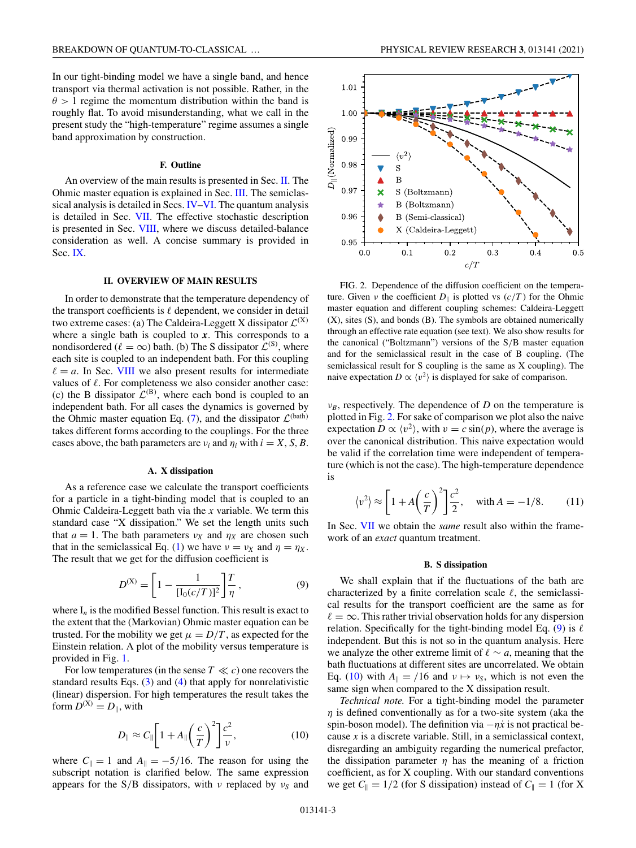### **F. Outline**

<span id="page-2-0"></span>An overview of the main results is presented in Sec. II. The Ohmic master equation is explained in Sec. [III.](#page-3-0) The semiclassical analysis is detailed in Secs. [IV–](#page-3-0)[VI.](#page-4-0) The quantum analysis is detailed in Sec. [VII.](#page-5-0) The effective stochastic description is presented in Sec. [VIII,](#page-6-0) where we discuss detailed-balance consideration as well. A concise summary is provided in Sec. [IX.](#page-7-0)

# **II. OVERVIEW OF MAIN RESULTS**

In order to demonstrate that the temperature dependency of the transport coefficients is  $\ell$  dependent, we consider in detail two extreme cases: (a) The Caldeira-Leggett X dissipator  $\mathcal{L}^{(X)}$ where a single bath is coupled to *x*. This corresponds to a nondisordered ( $\ell = \infty$ ) bath. (b) The S dissipator  $\mathcal{L}^{(S)}$ , where each site is coupled to an independent bath. For this coupling  $\ell = a$ . In Sec. [VIII](#page-6-0) we also present results for intermediate values of  $\ell$ . For completeness we also consider another case: (c) the B dissipator  $\mathcal{L}^{(B)}$ , where each bond is coupled to an independent bath. For all cases the dynamics is governed by the Ohmic master equation Eq. [\(7\)](#page-1-0), and the dissipator  $\mathcal{L}^{(bath)}$ takes different forms according to the couplings. For the three cases above, the bath parameters are  $v_i$  and  $\eta_i$  with  $i = X, S, B$ .

#### **A. X dissipation**

As a reference case we calculate the transport coefficients for a particle in a tight-binding model that is coupled to an Ohmic Caldeira-Leggett bath via the *x* variable. We term this standard case "X dissipation." We set the length units such that  $a = 1$ . The bath parameters  $v_X$  and  $\eta_X$  are chosen such that in the semiclassical Eq. [\(1\)](#page-0-0) we have  $v = v_X$  and  $\eta = \eta_X$ . The result that we get for the diffusion coefficient is

$$
D^{(X)} = \left[1 - \frac{1}{[I_0(c/T)]^2}\right] \frac{T}{\eta},\tag{9}
$$

where  $I_n$  is the modified Bessel function. This result is exact to the extent that the (Markovian) Ohmic master equation can be trusted. For the mobility we get  $\mu = D/T$ , as expected for the Einstein relation. A plot of the mobility versus temperature is provided in Fig. [1.](#page-1-0)

For low temperatures (in the sense  $T \ll c$ ) one recovers the standard results Eqs. [\(3\)](#page-0-0) and [\(4\)](#page-0-0) that apply for nonrelativistic (linear) dispersion. For high temperatures the result takes the form  $D^{(X)} = D_{\parallel}$ , with

$$
D_{\parallel} \approx C_{\parallel} \left[ 1 + A_{\parallel} \left( \frac{c}{T} \right)^2 \right] \frac{c^2}{\nu},\tag{10}
$$

where  $C_{\parallel} = 1$  and  $A_{\parallel} = -5/16$ . The reason for using the subscript notation is clarified below. The same expression appears for the S/B dissipators, with *ν* replaced by *ν<sub>S</sub>* and



FIG. 2. Dependence of the diffusion coefficient on the temperature. Given *ν* the coefficient  $D_{\parallel}$  is plotted vs  $(c/T)$  for the Ohmic master equation and different coupling schemes: Caldeira-Leggett (X), sites (S), and bonds (B). The symbols are obtained numerically through an effective rate equation (see text). We also show results for the canonical ("Boltzmann") versions of the S/B master equation and for the semiclassical result in the case of B coupling. (The semiclassical result for S coupling is the same as X coupling). The naive expectation  $D \propto \langle v^2 \rangle$  is displayed for sake of comparison.

 $v_B$ , respectively. The dependence of *D* on the temperature is plotted in Fig. 2. For sake of comparison we plot also the naive expectation  $D \propto \langle v^2 \rangle$ , with  $v = c \sin(p)$ , where the average is over the canonical distribution. This naive expectation would be valid if the correlation time were independent of temperature (which is not the case). The high-temperature dependence is

$$
\langle v^2 \rangle \approx \left[ 1 + A \left( \frac{c}{T} \right)^2 \right] \frac{c^2}{2}, \quad \text{with } A = -1/8. \tag{11}
$$

In Sec. [VII](#page-5-0) we obtain the *same* result also within the framework of an *exact* quantum treatment.

#### **B. S dissipation**

We shall explain that if the fluctuations of the bath are characterized by a finite correlation scale  $\ell$ , the semiclassical results for the transport coefficient are the same as for  $\ell = \infty$ . This rather trivial observation holds for any dispersion relation. Specifically for the tight-binding model Eq. (9) is  $\ell$ independent. But this is not so in the quantum analysis. Here we analyze the other extreme limit of  $\ell \sim a$ , meaning that the bath fluctuations at different sites are uncorrelated. We obtain Eq. (10) with  $A_{\parallel} = /16$  and  $v \mapsto v_S$ , which is not even the same sign when compared to the X dissipation result.

*Technical note.* For a tight-binding model the parameter  $\eta$  is defined conventionally as for a two-site system (aka the spin-boson model). The definition via  $-\eta \dot{x}$  is not practical because *x* is a discrete variable. Still, in a semiclassical context, disregarding an ambiguity regarding the numerical prefactor, the dissipation parameter  $\eta$  has the meaning of a friction coefficient, as for X coupling. With our standard conventions we get  $C_{\parallel} = 1/2$  (for S dissipation) instead of  $C_{\parallel} = 1$  (for X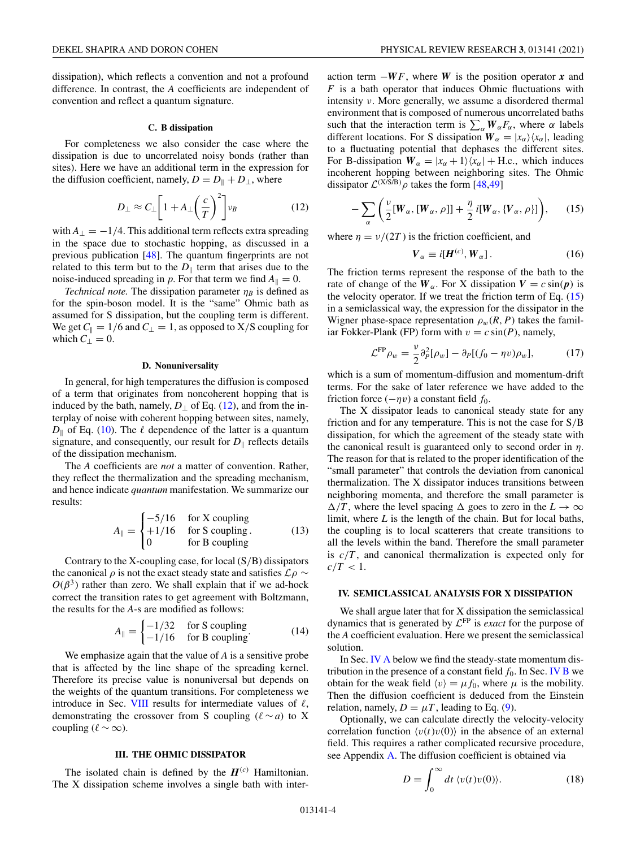<span id="page-3-0"></span>dissipation), which reflects a convention and not a profound difference. In contrast, the *A* coefficients are independent of convention and reflect a quantum signature.

#### **C. B dissipation**

For completeness we also consider the case where the dissipation is due to uncorrelated noisy bonds (rather than sites). Here we have an additional term in the expression for the diffusion coefficient, namely,  $D = D_{\parallel} + D_{\perp}$ , where

$$
D_{\perp} \approx C_{\perp} \left[ 1 + A_{\perp} \left( \frac{c}{T} \right)^2 \right] v_B \tag{12}
$$

with  $A_{\perp} = -1/4$ . This additional term reflects extra spreading in the space due to stochastic hopping, as discussed in a previous publication [\[48\]](#page-11-0). The quantum fingerprints are not related to this term but to the  $D_{\parallel}$  term that arises due to the noise-induced spreading in *p*. For that term we find  $A_{\parallel} = 0$ .

*Technical note.* The dissipation parameter  $\eta_B$  is defined as for the spin-boson model. It is the "same" Ohmic bath as assumed for S dissipation, but the coupling term is different. We get  $C_{\parallel} = 1/6$  and  $C_{\perp} = 1$ , as opposed to X/S coupling for which  $C_{\perp} = 0$ .

#### **D. Nonuniversality**

In general, for high temperatures the diffusion is composed of a term that originates from noncoherent hopping that is induced by the bath, namely,  $D_{\perp}$  of Eq. (12), and from the interplay of noise with coherent hopping between sites, namely,  $D_{\parallel}$  of Eq. [\(10\)](#page-2-0). The  $\ell$  dependence of the latter is a quantum signature, and consequently, our result for  $D_{\parallel}$  reflects details of the dissipation mechanism.

The *A* coefficients are *not* a matter of convention. Rather, they reflect the thermalization and the spreading mechanism, and hence indicate *quantum* manifestation. We summarize our results:

$$
A_{\parallel} = \begin{cases} -5/16 & \text{for X coupling} \\ +1/16 & \text{for S coupling.} \\ 0 & \text{for B coupling} \end{cases}
$$
 (13)

Contrary to the X-coupling case, for local  $(S/B)$  dissipators the canonical  $\rho$  is not the exact steady state and satisfies  $\mathcal{L}\rho \sim$  $O(\beta^3)$  rather than zero. We shall explain that if we ad-hock correct the transition rates to get agreement with Boltzmann, the results for the *A*-s are modified as follows:

$$
A_{\parallel} = \begin{cases} -1/32 & \text{for S coupling} \\ -1/16 & \text{for B coupling} \end{cases} \tag{14}
$$

We emphasize again that the value of *A* is a sensitive probe that is affected by the line shape of the spreading kernel. Therefore its precise value is nonuniversal but depends on the weights of the quantum transitions. For completeness we introduce in Sec. [VIII](#page-6-0) results for intermediate values of  $\ell$ , demonstrating the crossover from S coupling ( $\ell \sim a$ ) to X coupling ( $\ell \sim \infty$ ).

### **III. THE OHMIC DISSIPATOR**

The isolated chain is defined by the  $H^{(c)}$  Hamiltonian. The X dissipation scheme involves a single bath with interaction term −*WF*, where *W* is the position operator *x* and *F* is a bath operator that induces Ohmic fluctuations with intensity ν. More generally, we assume a disordered thermal environment that is composed of numerous uncorrelated baths such that the interaction term is  $\sum_{\alpha} W_{\alpha} F_{\alpha}$ , where  $\alpha$  labels different locations. For S dissipation  $W_{\alpha} = |x_{\alpha}\rangle \langle x_{\alpha}|$ , leading to a fluctuating potential that dephases the different sites. For B-dissipation  $W_{\alpha} = |x_{\alpha} + 1\rangle\langle x_{\alpha}| + \text{H.c., which induces}$ incoherent hopping between neighboring sites. The Ohmic dissipator  $\mathcal{L}^{(X\hat{S}/B)}\rho$  takes the form [\[48,49\]](#page-11-0)

$$
-\sum_{\alpha}\left(\frac{\nu}{2}[W_{\alpha},[W_{\alpha},\rho]]+\frac{\eta}{2}i[W_{\alpha},\{V_{\alpha},\rho\}]\right),\qquad(15)
$$

where  $\eta = v/(2T)$  is the friction coefficient, and

$$
V_{\alpha} \equiv i[H^{(c)}, W_{\alpha}]. \tag{16}
$$

The friction terms represent the response of the bath to the rate of change of the  $W_\alpha$ . For X dissipation  $V = c \sin(\boldsymbol{p})$  is the velocity operator. If we treat the friction term of Eq.  $(15)$ in a semiclassical way, the expression for the dissipator in the Wigner phase-space representation  $\rho_w(R, P)$  takes the familiar Fokker-Plank (FP) form with  $v = c \sin(P)$ , namely,

$$
\mathcal{L}^{\text{FP}} \rho_w = \frac{\nu}{2} \partial^2_P [\rho_w] - \partial_P [(f_0 - \eta v) \rho_w], \tag{17}
$$

which is a sum of momentum-diffusion and momentum-drift terms. For the sake of later reference we have added to the friction force  $(-\eta v)$  a constant field  $f_0$ .

The X dissipator leads to canonical steady state for any friction and for any temperature. This is not the case for S/B dissipation, for which the agreement of the steady state with the canonical result is guaranteed only to second order in  $\eta$ . The reason for that is related to the proper identification of the "small parameter" that controls the deviation from canonical thermalization. The X dissipator induces transitions between neighboring momenta, and therefore the small parameter is  $\Delta/T$ , where the level spacing  $\Delta$  goes to zero in the  $L \to \infty$ limit, where *L* is the length of the chain. But for local baths, the coupling is to local scatterers that create transitions to all the levels within the band. Therefore the small parameter is *c*/*T* , and canonical thermalization is expected only for  $c/T < 1$ .

## **IV. SEMICLASSICAL ANALYSIS FOR X DISSIPATION**

We shall argue later that for X dissipation the semiclassical dynamics that is generated by  $\mathcal{L}^{\text{FP}}$  is *exact* for the purpose of the *A* coefficient evaluation. Here we present the semiclassical solution.

In Sec. [IV A](#page-4-0) below we find the steady-state momentum distribution in the presence of a constant field  $f_0$ . In Sec. [IV B](#page-4-0) we obtain for the weak field  $\langle v \rangle = \mu f_0$ , where  $\mu$  is the mobility. Then the diffusion coefficient is deduced from the Einstein relation, namely,  $D = \mu T$ , leading to Eq. [\(9\)](#page-2-0).

Optionally, we can calculate directly the velocity-velocity correlation function  $\langle v(t)v(0) \rangle$  in the absence of an external field. This requires a rather complicated recursive procedure, see Appendix [A.](#page-8-0) The diffusion coefficient is obtained via

$$
D = \int_0^\infty dt \, \langle v(t)v(0) \rangle. \tag{18}
$$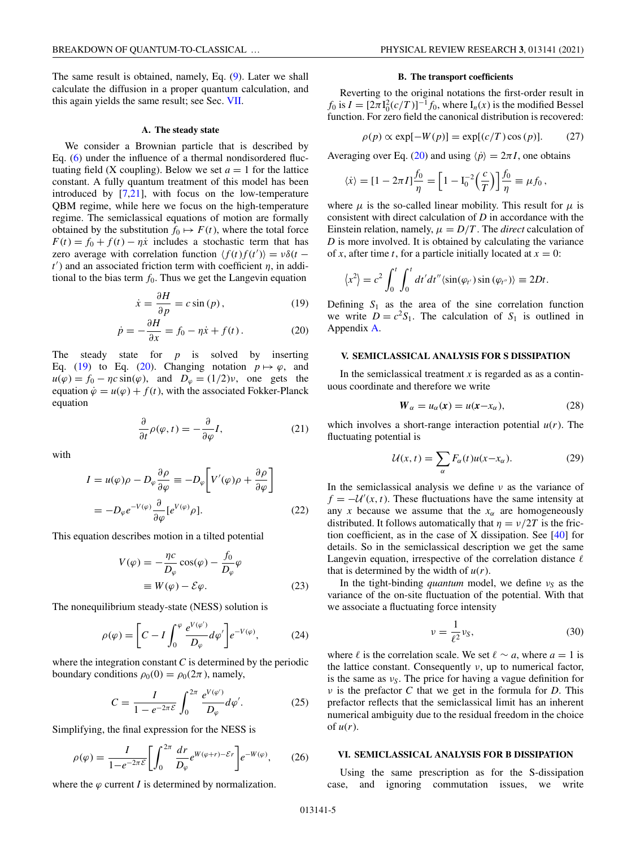<span id="page-4-0"></span>The same result is obtained, namely, Eq. [\(9\)](#page-2-0). Later we shall calculate the diffusion in a proper quantum calculation, and this again yields the same result; see Sec. [VII.](#page-5-0)

#### **A. The steady state**

We consider a Brownian particle that is described by Eq. [\(6\)](#page-1-0) under the influence of a thermal nondisordered fluctuating field (X coupling). Below we set  $a = 1$  for the lattice constant. A fully quantum treatment of this model has been introduced by [\[7,](#page-10-0)[21\]](#page-11-0), with focus on the low-temperature QBM regime, while here we focus on the high-temperature regime. The semiclassical equations of motion are formally obtained by the substitution  $f_0 \mapsto F(t)$ , where the total force  $F(t) = f_0 + f(t) - \eta \dot{x}$  includes a stochastic term that has zero average with correlation function  $\langle f(t) f(t') \rangle = v \delta(t$  $t'$ ) and an associated friction term with coefficient  $\eta$ , in additional to the bias term  $f_0$ . Thus we get the Langevin equation

$$
\dot{x} = \frac{\partial H}{\partial p} = c \sin(p),\tag{19}
$$

$$
\dot{p} = -\frac{\partial H}{\partial x} = f_0 - \eta \dot{x} + f(t). \tag{20}
$$

The steady state for *p* is solved by inserting Eq. (19) to Eq. (20). Changing notation  $p \mapsto \varphi$ , and  $u(\varphi) = f_0 - \eta c \sin(\varphi)$ , and  $D_\varphi = (1/2)v$ , one gets the equation  $\dot{\varphi} = u(\varphi) + f(t)$ , with the associated Fokker-Planck equation

$$
\frac{\partial}{\partial t}\rho(\varphi, t) = -\frac{\partial}{\partial \varphi}I,\tag{21}
$$

with

$$
I = u(\varphi)\rho - D_{\varphi}\frac{\partial \rho}{\partial \varphi} \equiv -D_{\varphi}\left[V'(\varphi)\rho + \frac{\partial \rho}{\partial \varphi}\right]
$$

$$
= -D_{\varphi}e^{-V(\varphi)}\frac{\partial}{\partial \varphi}[e^{V(\varphi)}\rho].
$$
(22)

This equation describes motion in a tilted potential

$$
V(\varphi) = -\frac{\eta c}{D_{\varphi}} \cos(\varphi) - \frac{f_0}{D_{\varphi}} \varphi
$$
  

$$
\equiv W(\varphi) - \mathcal{E}\varphi.
$$
 (23)

The nonequilibrium steady-state (NESS) solution is

$$
\rho(\varphi) = \left[C - I \int_0^{\varphi} \frac{e^{V(\varphi')}}{D_{\varphi}} d\varphi'\right] e^{-V(\varphi)},\tag{24}
$$

where the integration constant *C* is determined by the periodic boundary conditions  $\rho_0(0) = \rho_0(2\pi)$ , namely,

$$
C = \frac{I}{1 - e^{-2\pi\mathcal{E}}} \int_0^{2\pi} \frac{e^{V(\varphi')}}{D_\varphi} d\varphi'.
$$
 (25)

Simplifying, the final expression for the NESS is

$$
\rho(\varphi) = \frac{I}{1 - e^{-2\pi \mathcal{E}}} \left[ \int_0^{2\pi} \frac{dr}{D_\varphi} e^{W(\varphi + r) - \mathcal{E}r} \right] e^{-W(\varphi)},\tag{26}
$$

where the  $\varphi$  current *I* is determined by normalization.

# **B. The transport coefficients**

Reverting to the original notations the first-order result in  $f_0$  is  $I = [2\pi I_0^2(c/T)]^{-1} f_0$ , where  $I_n(x)$  is the modified Bessel function. For zero field the canonical distribution is recovered:

$$
\rho(p) \propto \exp[-W(p)] = \exp[(c/T)\cos(p)]. \tag{27}
$$

Averaging over Eq. (20) and using  $\langle \dot{p} \rangle = 2\pi I$ , one obtains

$$
\langle \dot{x} \rangle = [1 - 2\pi I] \frac{f_0}{\eta} = \left[1 - I_0^{-2} \left(\frac{c}{T}\right)\right] \frac{f_0}{\eta} \equiv \mu f_0,
$$

where  $\mu$  is the so-called linear mobility. This result for  $\mu$  is consistent with direct calculation of *D* in accordance with the Einstein relation, namely,  $\mu = D/T$ . The *direct* calculation of *D* is more involved. It is obtained by calculating the variance of *x*, after time *t*, for a particle initially located at  $x = 0$ :

$$
\langle x^2 \rangle = c^2 \int_0^t \int_0^t dt' dt'' \langle \sin(\varphi_{t'}) \sin(\varphi_{t''}) \rangle \equiv 2Dt.
$$

Defining  $S_1$  as the area of the sine correlation function we write  $D = c^2 S_1$ . The calculation of  $S_1$  is outlined in Appendix [A.](#page-8-0)

### **V. SEMICLASSICAL ANALYSIS FOR S DISSIPATION**

In the semiclassical treatment  $x$  is regarded as as a continuous coordinate and therefore we write

$$
W_{\alpha} = u_{\alpha}(x) = u(x - x_{\alpha}), \qquad (28)
$$

which involves a short-range interaction potential  $u(r)$ . The fluctuating potential is

$$
\mathcal{U}(x,t) = \sum_{\alpha} F_{\alpha}(t)u(x-x_{\alpha}).
$$
 (29)

In the semiclassical analysis we define  $\nu$  as the variance of  $f = -U'(x, t)$ . These fluctuations have the same intensity at any *x* because we assume that the  $x_\alpha$  are homogeneously distributed. It follows automatically that  $\eta = \nu/2T$  is the friction coefficient, as in the case of X dissipation. See [\[40\]](#page-11-0) for details. So in the semiclassical description we get the same Langevin equation, irrespective of the correlation distance  $\ell$ that is determined by the width of  $u(r)$ .

In the tight-binding *quantum* model, we define ν*<sup>S</sup>* as the variance of the on-site fluctuation of the potential. With that we associate a fluctuating force intensity

$$
\nu = \frac{1}{\ell^2} \nu_S,\tag{30}
$$

where  $\ell$  is the correlation scale. We set  $\ell \sim a$ , where  $a = 1$  is the lattice constant. Consequently  $\nu$ , up to numerical factor, is the same as  $v<sub>S</sub>$ . The price for having a vague definition for ν is the prefactor *C* that we get in the formula for *D*. This prefactor reflects that the semiclassical limit has an inherent numerical ambiguity due to the residual freedom in the choice of  $u(r)$ .

### **VI. SEMICLASSICAL ANALYSIS FOR B DISSIPATION**

Using the same prescription as for the S-dissipation case, and ignoring commutation issues, we write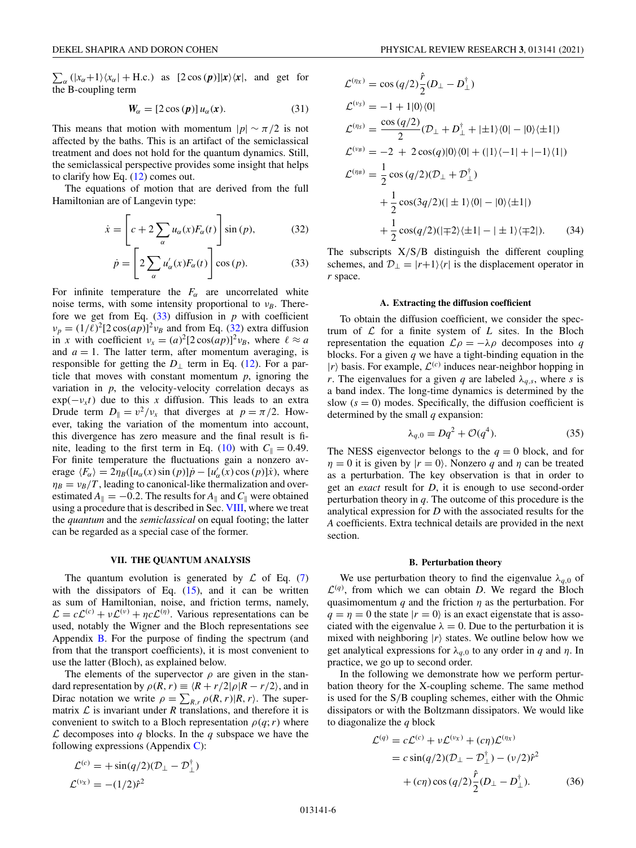<span id="page-5-0"></span> $\sum_{\alpha} (|x_{\alpha}+1\rangle\langle x_{\alpha}| + \text{H.c.})$  as  $[2 \cos(p)]|x\rangle\langle x|$ , and get for the B-coupling term

$$
W_{\alpha} = [2\cos(p)] u_{\alpha}(x). \qquad (31)
$$

This means that motion with momentum  $|p| \sim \pi/2$  is not affected by the baths. This is an artifact of the semiclassical treatment and does not hold for the quantum dynamics. Still, the semiclassical perspective provides some insight that helps to clarify how Eq. [\(12\)](#page-3-0) comes out.

The equations of motion that are derived from the full Hamiltonian are of Langevin type:

$$
\dot{x} = \left[c + 2\sum_{\alpha} u_{\alpha}(x)F_{\alpha}(t)\right] \sin(p),\tag{32}
$$

$$
\dot{p} = \left[2\sum_{\alpha} u'_{\alpha}(x)F_{\alpha}(t)\right] \cos(p). \tag{33}
$$

For infinite temperature the  $F_\alpha$  are uncorrelated white noise terms, with some intensity proportional to  $v_B$ . Therefore we get from Eq.  $(33)$  diffusion in *p* with coefficient  $\nu_p = (1/\ell)^2 [2 \cos(ap)]^2 \nu_B$  and from Eq. (32) extra diffusion in *x* with coefficient  $v_x = (a)^2 [2 \cos(ap)]^2 v_B$ , where  $\ell \approx a$ and  $a = 1$ . The latter term, after momentum averaging, is responsible for getting the  $D_1$  term in Eq. [\(12\)](#page-3-0). For a particle that moves with constant momentum *p*, ignoring the variation in  $p$ , the velocity-velocity correlation decays as  $exp(-v<sub>x</sub>t)$  due to this *x* diffusion. This leads to an extra Drude term  $D_{\parallel} = v^2/v_x$  that diverges at  $p = \pi/2$ . However, taking the variation of the momentum into account, this divergence has zero measure and the final result is fi-nite, leading to the first term in Eq. [\(10\)](#page-2-0) with  $C_{\parallel} = 0.49$ . For finite temperature the fluctuations gain a nonzero average  $\langle F_\alpha \rangle = 2\eta_B([u_\alpha(x)\sin(p)]\dot{p} - [u'_\alpha(x)\cos(p)]\dot{x})$ , where  $\eta_B = v_B/T$ , leading to canonical-like thermalization and overestimated  $A_{\parallel} = -0.2$ . The results for  $A_{\parallel}$  and  $C_{\parallel}$  were obtained using a procedure that is described in Sec. [VIII,](#page-6-0) where we treat the *quantum* and the *semiclassical* on equal footing; the latter can be regarded as a special case of the former.

# **VII. THE QUANTUM ANALYSIS**

The quantum evolution is generated by  $\mathcal L$  of Eq. [\(7\)](#page-1-0) with the dissipators of Eq.  $(15)$ , and it can be written as sum of Hamiltonian, noise, and friction terms, namely,  $\mathcal{L} = c\mathcal{L}^{(c)} + \nu \mathcal{L}^{(\nu)} + \eta c\mathcal{L}^{(\eta)}$ . Various representations can be used, notably the Wigner and the Bloch representations see Appendix  $\bf{B}$ . For the purpose of finding the spectrum (and from that the transport coefficients), it is most convenient to use the latter (Bloch), as explained below.

The elements of the supervector  $\rho$  are given in the standard representation by  $\rho(R, r) \equiv \frac{R + r}{2|\rho|R - r/2|}$ , and in Dirac notation we write  $\rho = \sum_{R,r} \rho(R,r) |R,r\rangle$ . The supermatrix  $\mathcal L$  is invariant under  $R$  translations, and therefore it is convenient to switch to a Bloch representation  $\rho(q;r)$  where  $\mathcal L$  decomposes into  $q$  blocks. In the  $q$  subspace we have the following expressions (Appendix  $C$ ):

$$
\mathcal{L}^{(c)} = +\sin(q/2)(\mathcal{D}_{\perp} - \mathcal{D}_{\perp}^{\dagger})
$$

$$
\mathcal{L}^{(v_X)} = -(1/2)\hat{r}^2
$$

$$
\mathcal{L}^{(\eta_X)} = \cos (q/2) \frac{\hat{r}}{2} (D_{\perp} - D_{\perp}^{\dagger})
$$
  
\n
$$
\mathcal{L}^{(\nu_S)} = -1 + 1|0\rangle\langle 0|
$$
  
\n
$$
\mathcal{L}^{(\eta_S)} = \frac{\cos (q/2)}{2} (D_{\perp} + D_{\perp}^{\dagger} + |\pm 1\rangle\langle 0| - |0\rangle\langle \pm 1|)
$$
  
\n
$$
\mathcal{L}^{(\nu_B)} = -2 + 2 \cos(q)|0\rangle\langle 0| + (|1\rangle\langle -1| + |-1\rangle\langle 1|)
$$
  
\n
$$
\mathcal{L}^{(\eta_B)} = \frac{1}{2} \cos (q/2)(D_{\perp} + D_{\perp}^{\dagger})
$$
  
\n
$$
+ \frac{1}{2} \cos(3q/2)(|\pm 1\rangle\langle 0| - |0\rangle\langle \pm 1|)
$$
  
\n
$$
+ \frac{1}{2} \cos(q/2)(|\mp 2\rangle\langle \pm 1| - |\pm 1\rangle\langle \mp 2|).
$$
 (34)

The subscripts  $X/S/B$  distinguish the different coupling schemes, and  $\mathcal{D}_{\perp} = |r+1\rangle\langle r|$  is the displacement operator in *r* space.

# **A. Extracting the diffusion coefficient**

To obtain the diffusion coefficient, we consider the spectrum of  $L$  for a finite system of  $L$  sites. In the Bloch representation the equation  $\mathcal{L}\rho = -\lambda \rho$  decomposes into *q* blocks. For a given *q* we have a tight-binding equation in the  $|r\rangle$  basis. For example,  $\mathcal{L}^{(c)}$  induces near-neighbor hopping in *r*. The eigenvalues for a given *q* are labeled  $\lambda_{q,s}$ , where *s* is a band index. The long-time dynamics is determined by the slow  $(s = 0)$  modes. Specifically, the diffusion coefficient is determined by the small *q* expansion:

$$
\lambda_{q,0} = Dq^2 + \mathcal{O}(q^4). \tag{35}
$$

The NESS eigenvector belongs to the  $q = 0$  block, and for  $\eta = 0$  it is given by  $|r = 0\rangle$ . Nonzero *q* and  $\eta$  can be treated as a perturbation. The key observation is that in order to get an *exact* result for *D*, it is enough to use second-order perturbation theory in *q*. The outcome of this procedure is the analytical expression for *D* with the associated results for the *A* coefficients. Extra technical details are provided in the next section.

#### **B. Perturbation theory**

We use perturbation theory to find the eigenvalue  $\lambda_{q,0}$  of  $\mathcal{L}^{(q)}$ , from which we can obtain *D*. We regard the Bloch quasimomentum  $q$  and the friction  $\eta$  as the perturbation. For  $q = \eta = 0$  the state  $|r = 0\rangle$  is an exact eigenstate that is associated with the eigenvalue  $\lambda = 0$ . Due to the perturbation it is mixed with neighboring  $|r\rangle$  states. We outline below how we get analytical expressions for  $\lambda_{q,0}$  to any order in *q* and *n*. In practice, we go up to second order.

In the following we demonstrate how we perform perturbation theory for the X-coupling scheme. The same method is used for the S/B coupling schemes, either with the Ohmic dissipators or with the Boltzmann dissipators. We would like to diagonalize the *q* block

$$
\mathcal{L}^{(q)} = c\mathcal{L}^{(c)} + \nu \mathcal{L}^{(\nu x)} + (c\eta)\mathcal{L}^{(\eta x)} \n= c \sin(q/2)(\mathcal{D}_{\perp} - \mathcal{D}_{\perp}^{\dagger}) - (\nu/2)\hat{r}^{2} \n+ (c\eta) \cos(q/2) \frac{\hat{r}}{2} (\mathcal{D}_{\perp} - \mathcal{D}_{\perp}^{\dagger}).
$$
\n(36)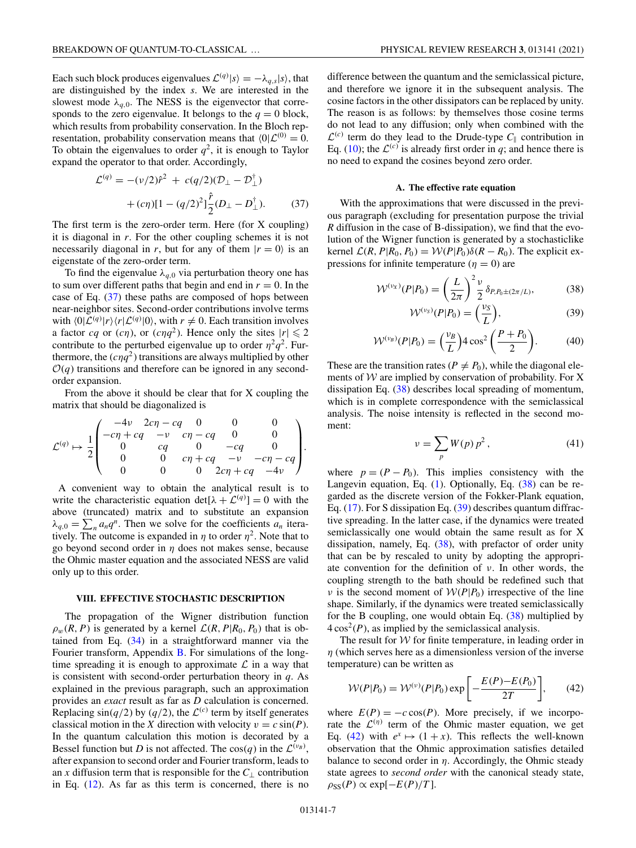<span id="page-6-0"></span>Each such block produces eigenvalues  $\mathcal{L}^{(q)}|s\rangle = -\lambda_{q,s}|s\rangle$ , that are distinguished by the index *s*. We are interested in the slowest mode  $\lambda_{q,0}$ . The NESS is the eigenvector that corresponds to the zero eigenvalue. It belongs to the  $q = 0$  block, which results from probability conservation. In the Bloch representation, probability conservation means that  $\langle 0|\mathcal{L}^{(0)}=0$ . To obtain the eigenvalues to order  $q^2$ , it is enough to Taylor expand the operator to that order. Accordingly,

$$
\mathcal{L}^{(q)} = -(\nu/2)\hat{r}^2 + c(q/2)(\mathcal{D}_\perp - \mathcal{D}_\perp^\dagger) + (c\eta)[1 - (q/2)^2] \frac{\hat{r}}{2} (\mathcal{D}_\perp - \mathcal{D}_\perp^\dagger).
$$
 (37)

The first term is the zero-order term. Here (for X coupling) it is diagonal in *r*. For the other coupling schemes it is not necessarily diagonal in *r*, but for any of them  $|r = 0\rangle$  is an eigenstate of the zero-order term.

To find the eigenvalue  $\lambda_{q,0}$  via perturbation theory one has to sum over different paths that begin and end in  $r = 0$ . In the case of Eq. (37) these paths are composed of hops between near-neighbor sites. Second-order contributions involve terms with  $\langle 0|\mathcal{L}^{(q)}|r\rangle\langle r|\mathcal{L}^{(q)}|0\rangle$ , with  $r\neq 0$ . Each transition involves a factor *cq* or (*cn*), or (*cnq*<sup>2</sup>). Hence only the sites  $|r| \le 2$ contribute to the perturbed eigenvalue up to order  $\eta^2 q^2$ . Furthermore, the  $(c\eta q^2)$  transitions are always multiplied by other  $O(q)$  transitions and therefore can be ignored in any secondorder expansion.

From the above it should be clear that for X coupling the matrix that should be diagonalized is

$$
\mathcal{L}^{(q)} \mapsto \frac{1}{2} \begin{pmatrix}\n-4\nu & 2c\eta - cq & 0 & 0 & 0 \\
-c\eta + cq & -\nu & c\eta - cq & 0 & 0 \\
0 & cq & 0 & -cq & 0 \\
0 & 0 & cr\eta + cq & -\nu & -c\eta - cq \\
0 & 0 & 0 & 2c\eta + cq & -4\nu\n\end{pmatrix}.
$$

A convenient way to obtain the analytical result is to write the characteristic equation  $det[\lambda + \mathcal{L}^{(q)}] = 0$  with the above (truncated) matrix and to substitute an expansion  $\lambda_{q,0} = \sum_{n} a_n q^n$ . Then we solve for the coefficients  $a_n$  iteratively. The outcome is expanded in  $\eta$  to order  $\eta^2$ . Note that to go beyond second order in  $\eta$  does not makes sense, because the Ohmic master equation and the associated NESS are valid only up to this order.

### **VIII. EFFECTIVE STOCHASTIC DESCRIPTION**

The propagation of the Wigner distribution function  $\rho_w(R, P)$  is generated by a kernel  $\mathcal{L}(R, P | R_0, P_0)$  that is obtained from Eq. [\(34\)](#page-5-0) in a straightforward manner via the Fourier transform, Appendix [B.](#page-8-0) For simulations of the longtime spreading it is enough to approximate  $\mathcal L$  in a way that is consistent with second-order perturbation theory in *q*. As explained in the previous paragraph, such an approximation provides an *exact* result as far as *D* calculation is concerned. Replacing  $\sin(q/2)$  by  $(q/2)$ , the  $\mathcal{L}^{(c)}$  term by itself generates classical motion in the *X* direction with velocity  $v = c \sin(P)$ . In the quantum calculation this motion is decorated by a Bessel function but *D* is not affected. The  $cos(q)$  in the  $\mathcal{L}^{(\nu_B)}$ , after expansion to second order and Fourier transform, leads to an *x* diffusion term that is responsible for the  $C_{\perp}$  contribution in Eq. [\(12\)](#page-3-0). As far as this term is concerned, there is no difference between the quantum and the semiclassical picture, and therefore we ignore it in the subsequent analysis. The cosine factors in the other dissipators can be replaced by unity. The reason is as follows: by themselves those cosine terms do not lead to any diffusion; only when combined with the  $\mathcal{L}^{(c)}$  term do they lead to the Drude-type  $C_{\parallel}$  contribution in Eq. [\(10\)](#page-2-0); the  $\mathcal{L}^{(c)}$  is already first order in *q*; and hence there is no need to expand the cosines beyond zero order.

#### **A. The effective rate equation**

With the approximations that were discussed in the previous paragraph (excluding for presentation purpose the trivial *R* diffusion in the case of B-dissipation), we find that the evolution of the Wigner function is generated by a stochasticlike kernel  $\mathcal{L}(R, P | R_0, P_0) = \mathcal{W}(P | P_0) \delta(R - R_0)$ . The explicit expressions for infinite temperature  $(\eta = 0)$  are

$$
\mathcal{W}^{(\nu_X)}(P|P_0) = \left(\frac{L}{2\pi}\right)^2 \frac{\nu}{2} \delta_{P,P_0 \pm (2\pi/L)},\tag{38}
$$

$$
\mathcal{W}^{(\nu_S)}(P|P_0) = \left(\frac{\nu_S}{L}\right),\tag{39}
$$

$$
\mathcal{W}^{(\nu_B)}(P|P_0) = \left(\frac{\nu_B}{L}\right) 4 \cos^2\left(\frac{P+P_0}{2}\right). \tag{40}
$$

These are the transition rates ( $P \neq P_0$ ), while the diagonal elements of  $W$  are implied by conservation of probability. For X dissipation Eq. (38) describes local spreading of momentum, which is in complete correspondence with the semiclassical analysis. The noise intensity is reflected in the second moment:

$$
\nu = \sum_{p} W(p) p^2, \qquad (41)
$$

where  $p = (P - P_0)$ . This implies consistency with the Langevin equation, Eq. [\(1\)](#page-0-0). Optionally, Eq. (38) can be regarded as the discrete version of the Fokker-Plank equation, Eq. [\(17\)](#page-3-0). For S dissipation Eq. (39) describes quantum diffractive spreading. In the latter case, if the dynamics were treated semiclassically one would obtain the same result as for X dissipation, namely, Eq. (38), with prefactor of order unity that can be by rescaled to unity by adopting the appropriate convention for the definition of  $\nu$ . In other words, the coupling strength to the bath should be redefined such that *ν* is the second moment of  $W(P|P_0)$  irrespective of the line shape. Similarly, if the dynamics were treated semiclassically for the B coupling, one would obtain Eq. (38) multiplied by  $4\cos^2(P)$ , as implied by the semiclassical analysis.

The result for  $W$  for finite temperature, in leading order in  $\eta$  (which serves here as a dimensionless version of the inverse temperature) can be written as

$$
W(P|P_0) = W^{(v)}(P|P_0) \exp\left[-\frac{E(P) - E(P_0)}{2T}\right],\qquad(42)
$$

where  $E(P) = -c \cos(P)$ . More precisely, if we incorporate the  $\mathcal{L}^{(\eta)}$  term of the Ohmic master equation, we get Eq. (42) with  $e^x \mapsto (1+x)$ . This reflects the well-known observation that the Ohmic approximation satisfies detailed balance to second order in  $\eta$ . Accordingly, the Ohmic steady state agrees to *second order* with the canonical steady state,  $\rho_{SS}(P) \propto \exp[-E(P)/T].$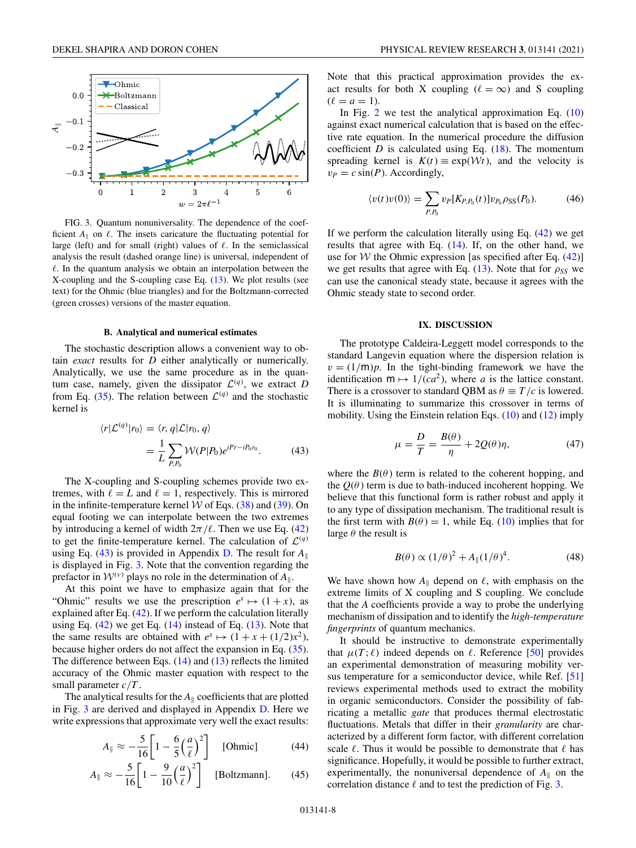<span id="page-7-0"></span>

FIG. 3. Quantum nonuniversality. The dependence of the coefficient  $A_{\parallel}$  on  $\ell$ . The insets caricature the fluctuating potential for large (left) and for small (right) values of  $\ell$ . In the semiclassical analysis the result (dashed orange line) is universal, independent of  $\ell$ . In the quantum analysis we obtain an interpolation between the X-coupling and the S-coupling case Eq. [\(13\)](#page-3-0). We plot results (see text) for the Ohmic (blue triangles) and for the Boltzmann-corrected (green crosses) versions of the master equation.

#### **B. Analytical and numerical estimates**

The stochastic description allows a convenient way to obtain *exact* results for *D* either analytically or numerically. Analytically, we use the same procedure as in the quantum case, namely, given the dissipator  $\mathcal{L}^{(q)}$ , we extract *D* from Eq. [\(35\)](#page-5-0). The relation between  $\mathcal{L}^{(q)}$  and the stochastic kernel is

$$
\langle r|\mathcal{L}^{(q)}|r_0\rangle = \langle r, q|\mathcal{L}|r_0, q\rangle
$$
  
= 
$$
\frac{1}{L} \sum_{P,P_0} \mathcal{W}(P|P_0)e^{iPr - iP_0r_0}.
$$
 (43)

The X-coupling and S-coupling schemes provide two extremes, with  $\ell = L$  and  $\ell = 1$ , respectively. This is mirrored in the infinite-temperature kernel  $W$  of Eqs. [\(38\)](#page-6-0) and [\(39\)](#page-6-0). On equal footing we can interpolate between the two extremes by introducing a kernel of width  $2\pi/l$ . Then we use Eq. [\(42\)](#page-6-0) to get the finite-temperature kernel. The calculation of  $\mathcal{L}^{(q)}$ using Eq. (43) is provided in Appendix [D.](#page-9-0) The result for  $A_{\parallel}$ is displayed in Fig. 3. Note that the convention regarding the prefactor in  $W^{(\nu)}$  plays no role in the determination of  $A_{\parallel}$ .

At this point we have to emphasize again that for the "Ohmic" results we use the prescription  $e^x \mapsto (1+x)$ , as explained after Eq. [\(42\)](#page-6-0). If we perform the calculation literally using Eq.  $(42)$  we get Eq.  $(14)$  instead of Eq.  $(13)$ . Note that the same results are obtained with  $e^x \mapsto (1 + x + (1/2)x^2)$ , because higher orders do not affect the expansion in Eq. [\(35\)](#page-5-0). The difference between Eqs. [\(14\)](#page-3-0) and [\(13\)](#page-3-0) reflects the limited accuracy of the Ohmic master equation with respect to the small parameter *c*/*T* .

The analytical results for the  $A_{\parallel}$  coefficients that are plotted in Fig. 3 are derived and displayed in Appendix [D.](#page-9-0) Here we write expressions that approximate very well the exact results:

$$
A_{\parallel} \approx -\frac{5}{16} \left[ 1 - \frac{6}{5} \left( \frac{a}{\ell} \right)^2 \right] \quad \text{[Ohmic]} \tag{44}
$$

$$
A_{\parallel} \approx -\frac{5}{16} \left[ 1 - \frac{9}{10} \left( \frac{a}{\ell} \right)^2 \right]
$$
 [Boltzmann]. (45)

Note that this practical approximation provides the exact results for both X coupling ( $\ell = \infty$ ) and S coupling  $(\ell = a = 1).$ 

In Fig. [2](#page-2-0) we test the analytical approximation Eq.  $(10)$ against exact numerical calculation that is based on the effective rate equation. In the numerical procedure the diffusion coefficient *D* is calculated using Eq.  $(18)$ . The momentum spreading kernel is  $K(t) \equiv \exp(\mathcal{W}t)$ , and the velocity is  $v_P = c \sin(P)$ . Accordingly,

$$
\langle v(t)v(0)\rangle = \sum_{P,P_0} v_P[K_{P,P_0}(t)]v_{P_0}\rho_{SS}(P_0).
$$
 (46)

If we perform the calculation literally using Eq.  $(42)$  we get results that agree with Eq. [\(14\)](#page-3-0). If, on the other hand, we use for W the Ohmic expression [as specified after Eq.  $(42)$ ] we get results that agree with Eq.  $(13)$ . Note that for  $\rho_{SS}$  we can use the canonical steady state, because it agrees with the Ohmic steady state to second order.

## **IX. DISCUSSION**

The prototype Caldeira-Leggett model corresponds to the standard Langevin equation where the dispersion relation is  $v = (1/m)p$ . In the tight-binding framework we have the identification  $m \mapsto 1/(ca^2)$ , where *a* is the lattice constant. There is a crossover to standard QBM as  $\theta \equiv T/c$  is lowered. It is illuminating to summarize this crossover in terms of mobility. Using the Einstein relation Eqs. [\(10\)](#page-2-0) and [\(12\)](#page-3-0) imply

$$
\mu = \frac{D}{T} = \frac{B(\theta)}{\eta} + 2Q(\theta)\eta,\tag{47}
$$

where the  $B(\theta)$  term is related to the coherent hopping, and the  $Q(\theta)$  term is due to bath-induced incoherent hopping. We believe that this functional form is rather robust and apply it to any type of dissipation mechanism. The traditional result is the first term with  $B(\theta) = 1$ , while Eq. [\(10\)](#page-2-0) implies that for large  $\theta$  the result is

$$
B(\theta) \propto (1/\theta)^2 + A_{\parallel}(1/\theta)^4. \tag{48}
$$

We have shown how  $A_{\parallel}$  depend on  $\ell$ , with emphasis on the extreme limits of X coupling and S coupling. We conclude that the *A* coefficients provide a way to probe the underlying mechanism of dissipation and to identify the *high-temperature fingerprints* of quantum mechanics.

It should be instructive to demonstrate experimentally that  $\mu(T; \ell)$  indeed depends on  $\ell$ . Reference [\[50\]](#page-11-0) provides an experimental demonstration of measuring mobility ver-sus temperature for a semiconductor device, while Ref. [\[51\]](#page-11-0) reviews experimental methods used to extract the mobility in organic semiconductors. Consider the possibility of fabricating a metallic *gate* that produces thermal electrostatic fluctuations. Metals that differ in their *granularity* are characterized by a different form factor, with different correlation scale  $\ell$ . Thus it would be possible to demonstrate that  $\ell$  has significance. Hopefully, it would be possible to further extract, experimentally, the nonuniversal dependence of  $A_{\parallel}$  on the correlation distance  $\ell$  and to test the prediction of Fig. 3.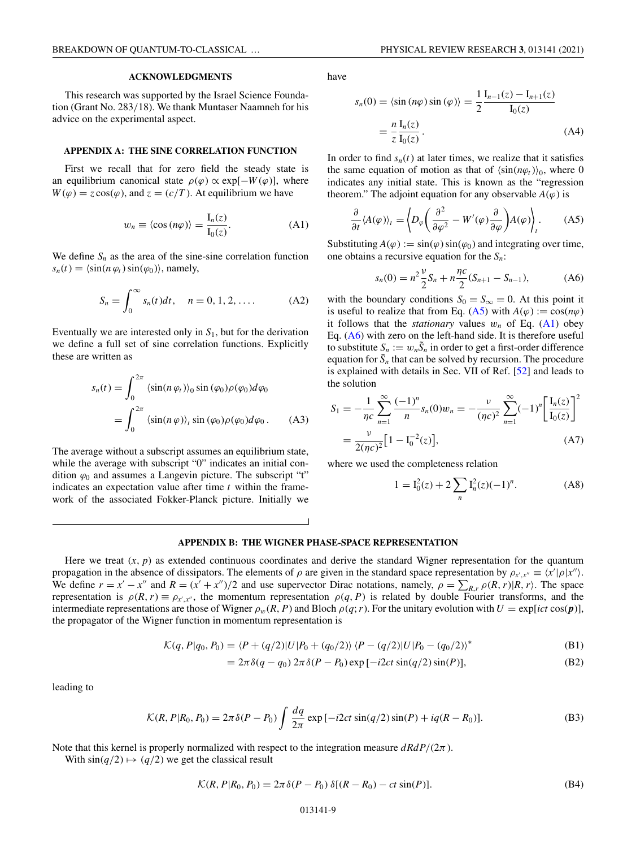# **ACKNOWLEDGMENTS**

<span id="page-8-0"></span>This research was supported by the Israel Science Foundation (Grant No. 283/18). We thank Muntaser Naamneh for his advice on the experimental aspect.

### **APPENDIX A: THE SINE CORRELATION FUNCTION**

First we recall that for zero field the steady state is an equilibrium canonical state  $\rho(\varphi) \propto \exp[-W(\varphi)]$ , where  $W(\varphi) = z \cos(\varphi)$ , and  $z = (c/T)$ . At equilibrium we have

$$
w_n \equiv \langle \cos(n\varphi) \rangle = \frac{I_n(z)}{I_0(z)}.
$$
 (A1)

We define  $S_n$  as the area of the sine-sine correlation function  $s_n(t) = \langle \sin(n \varphi_t) \sin(\varphi_0) \rangle$ , namely,

$$
S_n = \int_0^\infty s_n(t) dt, \quad n = 0, 1, 2, .... \tag{A2}
$$

Eventually we are interested only in  $S<sub>1</sub>$ , but for the derivation we define a full set of sine correlation functions. Explicitly these are written as

$$
s_n(t) = \int_0^{2\pi} \langle \sin(n\,\varphi_t) \rangle_0 \sin(\varphi_0) \rho(\varphi_0) d\varphi_0
$$
  
= 
$$
\int_0^{2\pi} \langle \sin(n\,\varphi) \rangle_t \sin(\varphi_0) \rho(\varphi_0) d\varphi_0.
$$
 (A3)

The average without a subscript assumes an equilibrium state, while the average with subscript "0" indicates an initial condition  $\varphi_0$  and assumes a Langevin picture. The subscript "t" indicates an expectation value after time *t* within the framework of the associated Fokker-Planck picture. Initially we

have

$$
s_n(0) = \langle \sin(n\varphi)\sin(\varphi) \rangle = \frac{1}{2} \frac{\mathrm{I}_{n-1}(z) - \mathrm{I}_{n+1}(z)}{\mathrm{I}_0(z)}
$$

$$
= \frac{n}{z} \frac{\mathrm{I}_n(z)}{\mathrm{I}_0(z)}.
$$
(A4)

In order to find  $s_n(t)$  at later times, we realize that it satisfies the same equation of motion as that of  $\langle sin(n\varphi_t)\rangle_0$ , where 0 indicates any initial state. This is known as the "regression theorem." The adjoint equation for any observable  $A(\varphi)$  is

$$
\frac{\partial}{\partial t} \langle A(\varphi) \rangle_t = \left\langle D_{\varphi} \left( \frac{\partial^2}{\partial \varphi^2} - W'(\varphi) \frac{\partial}{\partial \varphi} \right) A(\varphi) \right\rangle_t.
$$
 (A5)

Substituting  $A(\varphi) := \sin(\varphi) \sin(\varphi_0)$  and integrating over time, one obtains a recursive equation for the *Sn*:

$$
s_n(0) = n^2 \frac{\nu}{2} S_n + n \frac{\eta c}{2} (S_{n+1} - S_{n-1}), \tag{A6}
$$

with the boundary conditions  $S_0 = S_\infty = 0$ . At this point it is useful to realize that from Eq. (A5) with  $A(\varphi) := \cos(n\varphi)$ it follows that the *stationary* values  $w_n$  of Eq. (A1) obey Eq.  $(A6)$  with zero on the left-hand side. It is therefore useful to substitute  $S_n := w_n \tilde{S}_n$  in order to get a first-order difference equation for  $\tilde{S}_n$  that can be solved by recursion. The procedure is explained with details in Sec. VII of Ref. [\[52\]](#page-11-0) and leads to the solution

$$
S_1 = -\frac{1}{\eta c} \sum_{n=1}^{\infty} \frac{(-1)^n}{n} s_n(0) w_n = -\frac{\nu}{(\eta c)^2} \sum_{n=1}^{\infty} (-1)^n \left[ \frac{I_n(z)}{I_0(z)} \right]^2
$$
  
=  $\frac{\nu}{2(\eta c)^2} [1 - I_0^{-2}(z)],$  (A7)

where we used the completeness relation

$$
1 = I_0^2(z) + 2 \sum_n I_n^2(z) (-1)^n.
$$
 (A8)

# **APPENDIX B: THE WIGNER PHASE-SPACE REPRESENTATION**

Here we treat  $(x, p)$  as extended continuous coordinates and derive the standard Wigner representation for the quantum propagation in the absence of dissipators. The elements of  $\rho$  are given in the standard space representation by  $\rho_{x',x''} \equiv \langle x' | \rho | x'' \rangle$ . We define  $r = x' - x''$  and  $R = (x' + x'')/2$  and use supervector Dirac notations, namely,  $\rho = \sum_{R,r} \rho(R,r) |R,r\rangle$ . The space representation is  $\rho(R, r) \equiv \rho_{x',x''}$ , the momentum representation  $\rho(q, P)$  is related by double Fourier transforms, and the intermediate representations are those of Wigner  $\rho_w(R, P)$  and Bloch  $\rho(q; r)$ . For the unitary evolution with  $U = \exp[ict \cos(p)],$ the propagator of the Wigner function in momentum representation is

$$
\mathcal{K}(q, P|q_0, P_0) = \langle P + (q/2)|U|P_0 + (q_0/2)\rangle \langle P - (q/2)|U|P_0 - (q_0/2)\rangle^*
$$
\n(B1)

$$
= 2\pi \delta(q - q_0) 2\pi \delta(P - P_0) \exp[-i2ct \sin(q/2) \sin(P)],
$$
 (B2)

leading to

$$
\mathcal{K}(R, P|R_0, P_0) = 2\pi \delta(P - P_0) \int \frac{dq}{2\pi} \exp\left[-i2ct \sin(q/2)\sin(P) + iq(R - R_0)\right].
$$
 (B3)

Note that this kernel is properly normalized with respect to the integration measure *dRdP*/(2π).

With  $\sin(q/2) \mapsto (q/2)$  we get the classical result

$$
\mathcal{K}(R, P|R_0, P_0) = 2\pi \delta(P - P_0) \delta[(R - R_0) - ct \sin(P)].
$$
\n(B4)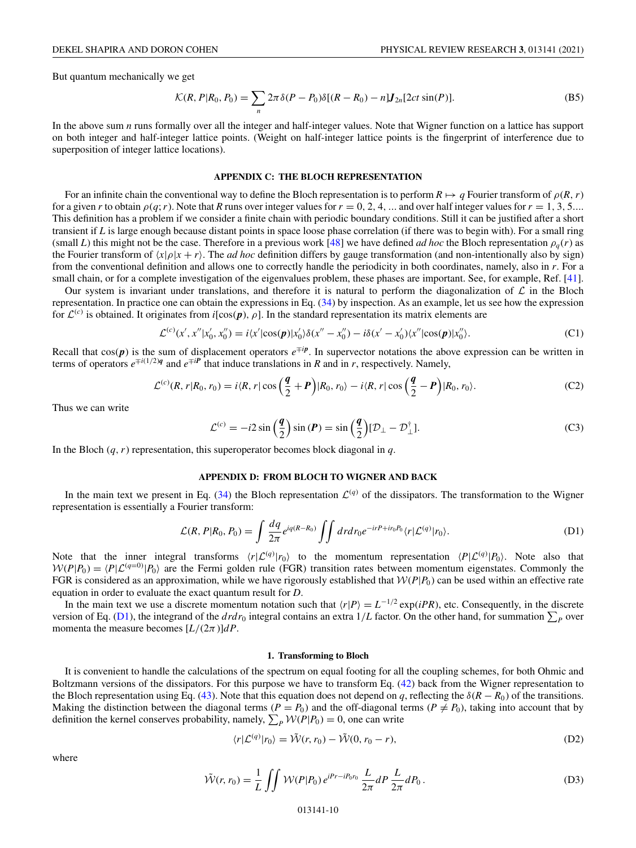<span id="page-9-0"></span>But quantum mechanically we get

$$
\mathcal{K}(R, P | R_0, P_0) = \sum_{n} 2\pi \delta(P - P_0) \delta[(R - R_0) - n] \mathbf{J}_{2n}[2ct \sin(P)].
$$
\n(B5)

In the above sum *n* runs formally over all the integer and half-integer values. Note that Wigner function on a lattice has support on both integer and half-integer lattice points. (Weight on half-integer lattice points is the fingerprint of interference due to superposition of integer lattice locations).

# **APPENDIX C: THE BLOCH REPRESENTATION**

For an infinite chain the conventional way to define the Bloch representation is to perform  $R \mapsto q$  Fourier transform of  $\rho(R, r)$ for a given *r* to obtain  $\rho(q; r)$ . Note that *R* runs over integer values for  $r = 0, 2, 4, ...$  and over half integer values for  $r = 1, 3, 5...$ This definition has a problem if we consider a finite chain with periodic boundary conditions. Still it can be justified after a short transient if *L* is large enough because distant points in space loose phase correlation (if there was to begin with). For a small ring (small L) this might not be the case. Therefore in a previous work [\[48\]](#page-11-0) we have defined *ad hoc* the Bloch representation  $\rho_q(r)$  as the Fourier transform of  $\langle x|\rho|x+r\rangle$ . The *ad hoc* definition differs by gauge transformation (and non-intentionally also by sign) from the conventional definition and allows one to correctly handle the periodicity in both coordinates, namely, also in *r*. For a small chain, or for a complete investigation of the eigenvalues problem, these phases are important. See, for example, Ref. [\[41\]](#page-11-0).

Our system is invariant under translations, and therefore it is natural to perform the diagonalization of  $\mathcal L$  in the Bloch representation. In practice one can obtain the expressions in Eq. [\(34\)](#page-5-0) by inspection. As an example, let us see how the expression for  $\mathcal{L}^{(c)}$  is obtained. It originates from *i*[cos( $\mathbf{p}$ ),  $\rho$ ]. In the standard representation its matrix elements are

$$
\mathcal{L}^{(c)}(x', x''|x'_0, x''_0) = i\langle x'|\cos(\mathbf{p})|x'_0\rangle\delta(x'' - x''_0) - i\delta(x' - x'_0)\langle x''|\cos(\mathbf{p})|x''_0\rangle. \tag{C1}
$$

Recall that  $cos(p)$  is the sum of displacement operators  $e^{\mp ip}$ . In supervector notations the above expression can be written in terms of operators  $e^{\mp i(1/2)q}$  and  $e^{\mp iP}$  that induce translations in *R* and in *r*, respectively. Namely,

$$
\mathcal{L}^{(c)}(R,r|R_0,r_0) = i\langle R,r|\cos\left(\frac{q}{2}+P\right)|R_0,r_0\rangle - i\langle R,r|\cos\left(\frac{q}{2}-P\right)|R_0,r_0\rangle. \tag{C2}
$$

Thus we can write

$$
\mathcal{L}^{(c)} = -i2\sin\left(\frac{q}{2}\right)\sin\left(P\right) = \sin\left(\frac{q}{2}\right)[\mathcal{D}_{\perp} - \mathcal{D}_{\perp}^{\dagger}].\tag{C3}
$$

In the Bloch  $(q, r)$  representation, this superoperator becomes block diagonal in  $q$ .

### **APPENDIX D: FROM BLOCH TO WIGNER AND BACK**

In the main text we present in Eq. [\(34\)](#page-5-0) the Bloch representation  $\mathcal{L}^{(q)}$  of the dissipators. The transformation to the Wigner representation is essentially a Fourier transform:

$$
\mathcal{L}(R, P|R_0, P_0) = \int \frac{dq}{2\pi} e^{iq(R-R_0)} \iint dr dr_0 e^{-irP + ir_0P_0} \langle r|\mathcal{L}^{(q)}|r_0\rangle.
$$
 (D1)

Note that the inner integral transforms  $\langle r|\mathcal{L}^{(q)}|r_0\rangle$  to the momentum representation  $\langle P|\mathcal{L}^{(q)}|P_0\rangle$ . Note also that  $W(P|P_0) = \langle P | \mathcal{L}^{(q=0)} | P_0 \rangle$  are the Fermi golden rule (FGR) transition rates between momentum eigenstates. Commonly the FGR is considered as an approximation, while we have rigorously established that  $W(P|P_0)$  can be used within an effective rate equation in order to evaluate the exact quantum result for *D*.

In the main text we use a discrete momentum notation such that  $\langle r|P\rangle = L^{-1/2} \exp(iPR)$ , etc. Consequently, in the discrete version of Eq. (D1), the integrand of the  $drdr_0$  integral contains an extra  $1/L$  factor. On the other hand, for summation  $\sum_P$  over momenta the measure becomes  $[L/(2\pi)]dP$ .

# **1. Transforming to Bloch**

It is convenient to handle the calculations of the spectrum on equal footing for all the coupling schemes, for both Ohmic and Boltzmann versions of the dissipators. For this purpose we have to transform Eq. [\(42\)](#page-6-0) back from the Wigner representation to the Bloch representation using Eq. [\(43\)](#page-7-0). Note that this equation does not depend on *q*, reflecting the  $\delta(R - R_0)$  of the transitions. Making the distinction between the diagonal terms ( $P = P_0$ ) and the off-diagonal terms ( $P \neq P_0$ ), taking into account that by definition the kernel conserves probability, namely,  $\sum_{P} \mathcal{W}(P|P_0) = 0$ , one can write

$$
\langle r|\mathcal{L}^{(q)}|r_0\rangle = \tilde{\mathcal{W}}(r,r_0) - \tilde{\mathcal{W}}(0,r_0 - r),\tag{D2}
$$

where

$$
\tilde{\mathcal{W}}(r, r_0) = \frac{1}{L} \iint \mathcal{W}(P|P_0) e^{iPr - iP_0 r_0} \frac{L}{2\pi} dP \frac{L}{2\pi} dP_0.
$$
\n(D3)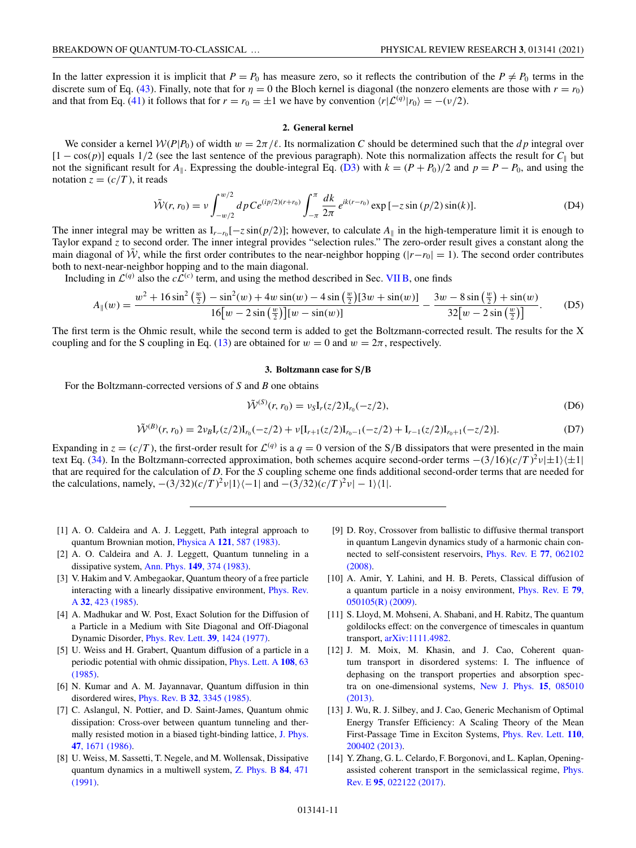<span id="page-10-0"></span>In the latter expression it is implicit that  $P = P_0$  has measure zero, so it reflects the contribution of the  $P \neq P_0$  terms in the discrete sum of Eq. [\(43\)](#page-7-0). Finally, note that for  $\eta = 0$  the Bloch kernel is diagonal (the nonzero elements are those with  $r = r_0$ ) and that from Eq. [\(41\)](#page-6-0) it follows that for  $r = r_0 = \pm 1$  we have by convention  $\langle r | \mathcal{L}^{(q)} | r_0 \rangle = -(\nu/2)$ .

#### **2. General kernel**

We consider a kernel  $W(P|P_0)$  of width  $w = 2\pi/\ell$ . Its normalization C should be determined such that the *dp* integral over  $[1 - \cos(p)]$  equals 1/2 (see the last sentence of the previous paragraph). Note this normalization affects the result for *C*<sub>||</sub> but not the significant result for  $A_{\parallel}$ . Expressing the double-integral Eq. [\(D3\)](#page-9-0) with  $k = (P + P_0)/2$  and  $p = P - P_0$ , and using the notation  $z = (c/T)$ , it reads

$$
\tilde{\mathcal{W}}(r, r_0) = \nu \int_{-w/2}^{w/2} dp \, C e^{(ip/2)(r+r_0)} \int_{-\pi}^{\pi} \frac{dk}{2\pi} \, e^{ik(r-r_0)} \exp\left[-z \sin\left(\frac{p}{2}\right) \sin(k)\right].\tag{D4}
$$

The inner integral may be written as  $I_{r-n}[-z \sin(p/2)]$ ; however, to calculate  $A_{\parallel}$  in the high-temperature limit it is enough to Taylor expand *z* to second order. The inner integral provides "selection rules." The zero-order result gives a constant along the main diagonal of  $\tilde{W}$ , while the first order contributes to the near-neighbor hopping ( $|r-r_0|=1$ ). The second order contributes both to next-near-neighbor hopping and to the main diagonal.

Including in  $\mathcal{L}^{(q)}$  also the  $c\mathcal{L}^{(c)}$  term, and using the method described in Sec. [VII B,](#page-5-0) one finds

$$
A_{\parallel}(w) = \frac{w^2 + 16\sin^2\left(\frac{w}{2}\right) - \sin^2(w) + 4w\sin(w) - 4\sin\left(\frac{w}{2}\right)[3w + \sin(w)]}{16[w - 2\sin\left(\frac{w}{2}\right)][w - \sin(w)]} - \frac{3w - 8\sin\left(\frac{w}{2}\right) + \sin(w)}{32[w - 2\sin\left(\frac{w}{2}\right)]}.
$$
 (D5)

The first term is the Ohmic result, while the second term is added to get the Boltzmann-corrected result. The results for the X coupling and for the S coupling in Eq. [\(13\)](#page-3-0) are obtained for  $w = 0$  and  $w = 2\pi$ , respectively.

#### **3. Boltzmann case for S***/***B**

For the Boltzmann-corrected versions of *S* and *B* one obtains

$$
\tilde{\mathcal{W}}^{(S)}(r, r_0) = \nu_S I_r(z/2) I_{r_0}(-z/2), \tag{D6}
$$

$$
\tilde{\mathcal{W}}^{(B)}(r,r_0) = 2\nu_B \mathbf{I}_r(z/2) \mathbf{I}_{r_0}(-z/2) + \nu [\mathbf{I}_{r+1}(z/2) \mathbf{I}_{r_0-1}(-z/2) + \mathbf{I}_{r-1}(z/2) \mathbf{I}_{r_0+1}(-z/2)].
$$
\n(D7)

Expanding in  $z = (c/T)$ , the first-order result for  $\mathcal{L}^{(q)}$  is a  $q = 0$  version of the S/B dissipators that were presented in the main text Eq. [\(34\)](#page-5-0). In the Boltzmann-corrected approximation, both schemes acquire second-order terms  $-(3/16)(c/T)^2v|\pm 1\rangle\langle\pm 1|$ that are required for the calculation of *D*. For the *S* coupling scheme one finds additional second-order terms that are needed for the calculations, namely,  $-(3/32)(c/T)^2 \nu |1\rangle \langle -1|$  and  $-(3/32)(c/T)^2 \nu |-1\rangle \langle 1|$ .

- [1] A. O. Caldeira and A. J. Leggett, Path integral approach to quantum Brownian motion, Physica A **121**[, 587 \(1983\).](https://doi.org/10.1016/0378-4371(83)90013-4)
- [2] A. O. Caldeira and A. J. Leggett, Quantum tunneling in a dissipative system, Ann. Phys. **149**[, 374 \(1983\).](https://doi.org/10.1016/0003-4916(83)90202-6)
- [3] V. Hakim and V. Ambegaokar, Quantum theory of a free particle [interacting with a linearly dissipative environment,](https://doi.org/10.1103/PhysRevA.32.423) Phys. Rev. A **32**, 423 (1985).
- [4] A. Madhukar and W. Post, Exact Solution for the Diffusion of a Particle in a Medium with Site Diagonal and Off-Diagonal Dynamic Disorder, [Phys. Rev. Lett.](https://doi.org/10.1103/PhysRevLett.39.1424) **39**, 1424 (1977).
- [5] U. Weiss and H. Grabert, Quantum diffusion of a particle in a [periodic potential with ohmic dissipation,](https://doi.org/10.1016/0375-9601(85)90517-1) Phys. Lett. A **108**, 63 (1985).
- [6] N. Kumar and A. M. Jayannavar, Quantum diffusion in thin disordered wires, Phys. Rev. B **32**[, 3345 \(1985\).](https://doi.org/10.1103/PhysRevB.32.3345)
- [7] C. Aslangul, N. Pottier, and D. Saint-James, Quantum ohmic dissipation: Cross-over between quantum tunneling and ther[mally resisted motion in a biased tight-binding lattice,](https://doi.org/10.1051/jphys:0198600470100167100) J. Phys. **47**, 1671 (1986).
- [8] U. Weiss, M. Sassetti, T. Negele, and M. Wollensak, Dissipative [quantum dynamics in a multiwell system,](https://doi.org/10.1007/BF01314023) Z. Phys. B **84**, 471 (1991).
- [9] D. Roy, Crossover from ballistic to diffusive thermal transport in quantum Langevin dynamics study of a harmonic chain con[nected to self-consistent reservoirs,](https://doi.org/10.1103/PhysRevE.77.062102) Phys. Rev. E **77**, 062102 (2008).
- [10] A. Amir, Y. Lahini, and H. B. Perets, Classical diffusion of [a quantum particle in a noisy environment,](https://doi.org/10.1103/PhysRevE.79.050105) Phys. Rev. E **79**, 050105(R) (2009).
- [11] S. Lloyd, M. Mohseni, A. Shabani, and H. Rabitz, The quantum goldilocks effect: on the convergence of timescales in quantum transport, [arXiv:1111.4982.](http://arxiv.org/abs/arXiv:1111.4982)
- [12] J. M. Moix, M. Khasin, and J. Cao, Coherent quantum transport in disordered systems: I. The influence of dephasing on the transport properties and absorption spec[tra on one-dimensional systems,](https://doi.org/10.1088/1367-2630/15/8/085010) New J. Phys. **15**, 085010 (2013).
- [13] J. Wu, R. J. Silbey, and J. Cao, Generic Mechanism of Optimal Energy Transfer Efficiency: A Scaling Theory of the Mean [First-Passage Time in Exciton Systems,](https://doi.org/10.1103/PhysRevLett.110.200402) Phys. Rev. Lett. **110**, 200402 (2013).
- [14] Y. Zhang, G. L. Celardo, F. Borgonovi, and L. Kaplan, Opening[assisted coherent transport in the semiclassical regime,](https://doi.org/10.1103/PhysRevE.95.022122) Phys. Rev. E **95**, 022122 (2017).